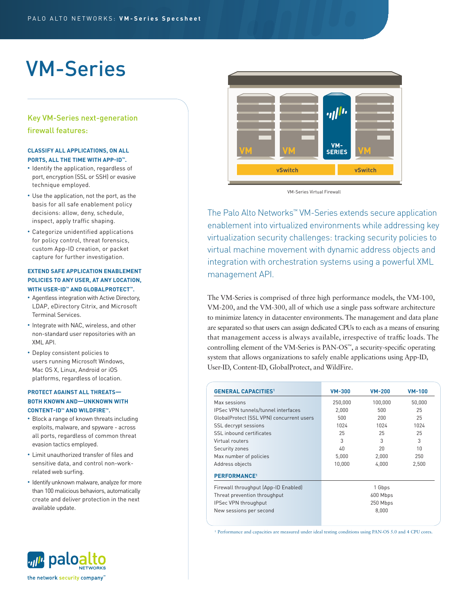# VM-Series

## Key VM-Series next-generation firewall features:

## **CLASSIFY ALL APPLICATIONS, ON ALL PORTS, ALL THE TIME WITH APP-ID™.**

- Identify the application, regardless of port, encryption (SSL or SSH) or evasive technique employed.
- Use the application, not the port, as the basis for all safe enablement policy decisions: allow, deny, schedule, inspect, apply traffic shaping.
- Categorize unidentified applications for policy control, threat forensics, custom App-ID creation, or packet capture for further investigation.

## **EXTEND SAFE APPLICATION ENABLEMENT POLICIES TO ANY USER, AT ANY LOCATION, WITH USER-ID™ AND GLOBALPROTECT™.**

- Agentless integration with Active Directory, LDAP, eDirectory Citrix, and Microsoft Terminal Services.
- Integrate with NAC, wireless, and other non-standard user repositories with an XML API.
- Deploy consistent policies to users running Microsoft Windows, Mac OS X, Linux, Android or iOS platforms, regardless of location.

## **PROTECT AGAINST ALL THREATS— BOTH KNOWN AND—UNKNOWN WITH CONTENT-ID™ AND WILDFIRE™.**

- Block a range of known threats including exploits, malware, and spyware - across all ports, regardless of common threat evasion tactics employed.
- Limit unauthorized transfer of files and sensitive data, and control non-workrelated web surfing.
- Identify unknown malware, analyze for more than 100 malicious behaviors, automatically create and deliver protection in the next available update.

ville paloalto

the network security company"







The Palo Alto Networks™ VM-Series extends secure application enablement into virtualized environments while addressing key virtualization security challenges: tracking security policies to virtual machine movement with dynamic address objects and integration with orchestration systems using a powerful XML management API.

The VM-Series is comprised of three high performance models, the VM-100, VM-200, and the VM-300, all of which use a single pass software architecture to minimize latency in datacenter environments. The management and data plane are separated so that users can assign dedicated CPUs to each as a means of ensuring that management access is always available, irrespective of traffic loads. The controlling element of the VM-Series is PAN-OS™, a security-specific operating system that allows organizations to safely enable applications using App-ID, User-ID, Content-ID, GlobalProtect, and WildFire.

| <b>GENERAL CAPACITIES1</b>                 | <b>VM-300</b> | <b>VM-200</b> | $VM-100$ |
|--------------------------------------------|---------------|---------------|----------|
| Max sessions                               | 250,000       | 100,000       | 50,000   |
| <b>IPSec VPN tunnels/tunnel interfaces</b> | 2.000         | 500           | 25       |
| GlobalProtect (SSL VPN) concurrent users   | 500           | 200           | 25       |
| SSL decrypt sessions                       | 1024          | 1024          | 1024     |
| SSL inbound certificates                   | 25            | 25            | 25       |
| Virtual routers                            | 3             | 3             | 3        |
| Security zones                             | 40            | 20            | 10       |
| Max number of policies                     | 5,000         | 2.000         | 250      |
| Address objects                            | 10,000        | 4,000         | 2,500    |
| <b>PERFORMANCE<sup>1</sup></b>             |               |               |          |
| Firewall throughput (App-ID Enabled)       |               | 1 Gbps        |          |
| Threat prevention throughput               |               | 600 Mbps      |          |
| IPSec VPN throughput                       | 250 Mbps      |               |          |
| New sessions per second                    |               | 8.000         |          |
|                                            |               |               |          |

<sup>1</sup> Performance and capacities are measured under ideal testing conditions using PAN-OS 5.0 and 4 CPU cores.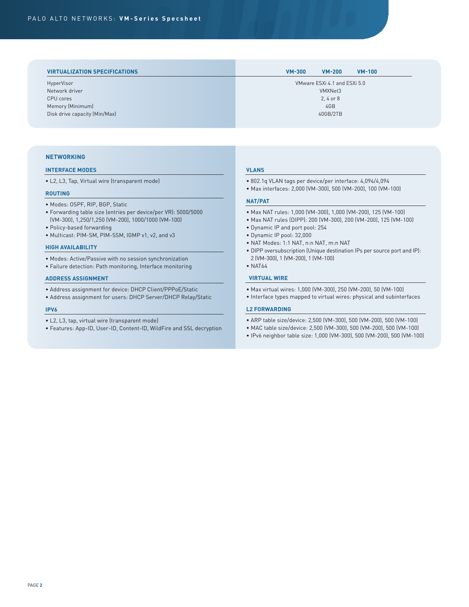| <b>VIRTUALIZATION SPECIFICATIONS</b> | <b>VM-300</b><br>$VM-200$<br>$VM-100$ |
|--------------------------------------|---------------------------------------|
| HyperVisor                           | VMware ESXi 4.1 and ESXi 5.0          |
| Network driver                       | VMXNet3                               |
| CPU cores                            | 2, 4 or 8                             |
| Memory (Minimum)                     | 4GB                                   |
| Disk drive capacity (Min/Max)        | 40GB/2TB                              |

## **NETWORKING**

## **INTERFACE MODES**

• L2, L3, Tap, Virtual wire (transparent mode)

#### **ROUTING**

- Modes: OSPF, RIP, BGP, Static
- Forwarding table size (entries per device/per VR): 5000/5000 (VM-300), 1,250/1,250 (VM-200), 1000/1000 (VM-100)
- Policy-based forwarding
- Multicast: PIM-SM, PIM-SSM, IGMP v1, v2, and v3

#### **HIGH AVAILABILITY**

- Modes: Active/Passive with no session synchronization
- Failure detection: Path monitoring, Interface monitoring

#### **ADDRESS ASSIGNMENT**

- Address assignment for device: DHCP Client/PPPoE/Static
- Address assignment for users: DHCP Server/DHCP Relay/Static

#### **IPV6**

- L2, L3, tap, virtual wire (transparent mode)
- Features: App-ID, User-ID, Content-ID, WildFire and SSL decryption

## **VLANS**

- 802.1q VLAN tags per device/per interface: 4,094/4,094
- Max interfaces: 2,000 (VM-300), 500 (VM-200), 100 (VM-100)

## **NAT/PAT**

- Max NAT rules: 1,000 (VM-300), 1,000 (VM-200), 125 (VM-100)
- Max NAT rules (DIPP): 200 (VM-300), 200 (VM-200), 125 (VM-100)
- Dynamic IP and port pool: 254
- Dynamic IP pool: 32,000
- NAT Modes: 1:1 NAT, n:n NAT, m:n NAT
- DIPP oversubscription (Unique destination IPs per source port and IP): 2 (VM-300), 1 (VM-200), 1 (VM-100)
- NAT64

## **VIRTUAL WIRE**

- Max virtual wires: 1,000 (VM-300), 250 (VM-200), 50 (VM-100)
- Interface types mapped to virtual wires: physical and subinterfaces

#### **L2 FORWARDING**

- ARP table size/device: 2,500 (VM-300), 500 (VM-200), 500 (VM-100)
- MAC table size/device: 2,500 (VM-300), 500 (VM-200), 500 (VM-100)
- IPv6 neighbor table size: 1,000 (VM-300), 500 (VM-200), 500 (VM-100)